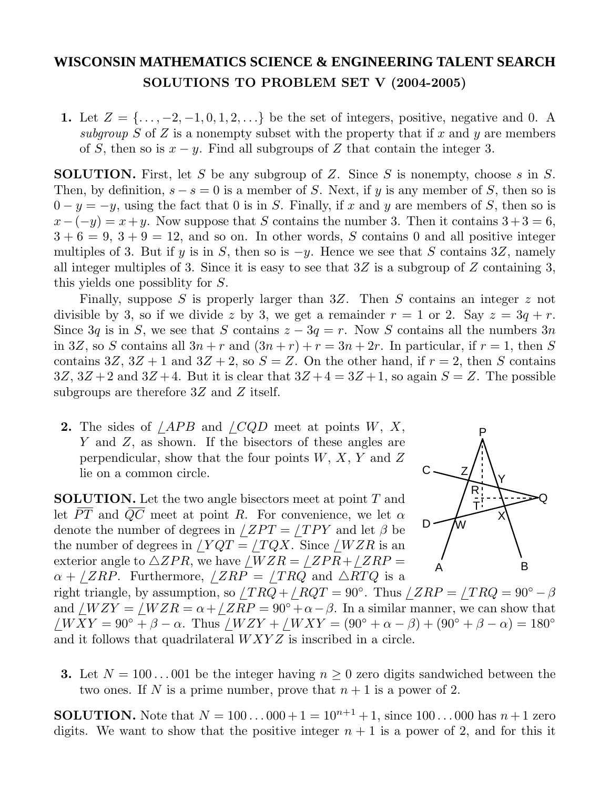## **WISCONSIN MATHEMATICS SCIENCE & ENGINEERING TALENT SEARCH SOLUTIONS TO PROBLEM SET V (2004-2005)**

**1.** Let  $Z = \{..., -2, -1, 0, 1, 2, ...\}$  be the set of integers, positive, negative and 0. A subgroup *S* of *Z* is a nonempty subset with the property that if *x* and *y* are members of *S*, then so is  $x - y$ . Find all subgroups of *Z* that contain the integer 3.

**SOLUTION.** First, let *S* be any subgroup of *Z*. Since *S* is nonempty, choose *s* in *S*. Then, by definition,  $s - s = 0$  is a member of *S*. Next, if *y* is any member of *S*, then so is  $0 - y = -y$ , using the fact that 0 is in *S*. Finally, if *x* and *y* are members of *S*, then so is  $x-(-y) = x+y$ . Now suppose that *S* contains the number 3. Then it contains  $3+3=6$ ,  $3 + 6 = 9$ ,  $3 + 9 = 12$ , and so on. In other words, *S* contains 0 and all positive integer multiples of 3. But if *y* is in *S*, then so is  $-y$ . Hence we see that *S* contains 3*Z*, namely all integer multiples of 3. Since it is easy to see that 3*Z* is a subgroup of *Z* containing 3, this yields one possiblity for *S*.

Finally, suppose *S* is properly larger than 3*Z*. Then *S* contains an integer *z* not divisible by 3, so if we divide z by 3, we get a remainder  $r = 1$  or 2. Say  $z = 3q + r$ . Since 3*q* is in *S*, we see that *S* contains  $z - 3q = r$ . Now *S* contains all the numbers 3*n* in 3*Z*, so *S* contains all  $3n + r$  and  $(3n + r) + r = 3n + 2r$ . In particular, if  $r = 1$ , then *S* contains  $3Z$ ,  $3Z + 1$  and  $3Z + 2$ , so  $S = Z$ . On the other hand, if  $r = 2$ , then *S* contains  $3Z$ ,  $3Z+2$  and  $3Z+4$ . But it is clear that  $3Z+4=3Z+1$ , so again  $S=Z$ . The possible subgroups are therefore 3*Z* and *Z* itself.

**2.** The sides of */APB* and */CQD* meet at points *W*, *X*, *Y* and *Z*, as shown. If the bisectors of these angles are perpendicular, show that the four points *W*, *X*, *Y* and *Z* lie on a common circle.

**SOLUTION.** Let the two angle bisectors meet at point *T* and let  $\overline{PT}$  and  $\overline{QC}$  meet at point *R*. For convenience, we let  $\alpha$ denote the number of degrees in  $\angle ZPT = \angle TPY$  and let  $\beta$  be the number of degrees in  $\angle YQT = \angle TQX$ . Since  $\angle WZR$  is an exterior angle to  $\triangle ZPR$ , we have  $/WZR = \angle ZPR + \angle ZRP =$  $\alpha$  + */ZRP*. Furthermore, */ZRP* = */TRQ* and  $\triangle RTQ$  is a



right triangle, by assumption, so  $/TRQ + /RQT = 90°$ . Thus  $/ZRP = /TRQ = 90° - \beta$ and */WZY* = */WZR* =  $\alpha$  + */ZRP* = 90° +  $\alpha$  -  $\beta$ . In a similar manner, we can show that  $\angle$ *WXY* = 90° +  $\beta$  –  $\alpha$ . Thus  $\angle$ *WZY* +  $\angle$ *WXY* = (90° +  $\alpha$  –  $\beta$ ) + (90° +  $\beta$  –  $\alpha$ ) = 180° and it follows that quadrilateral *WXYZ* is inscribed in a circle.

**3.** Let  $N = 100...001$  be the integer having  $n \geq 0$  zero digits sandwiched between the two ones. If N is a prime number, prove that  $n+1$  is a power of 2.

**SOLUTION.** Note that  $N = 100...000 + 1 = 10^{n+1} + 1$ , since  $100...000$  has  $n+1$  zero digits. We want to show that the positive integer  $n + 1$  is a power of 2, and for this it